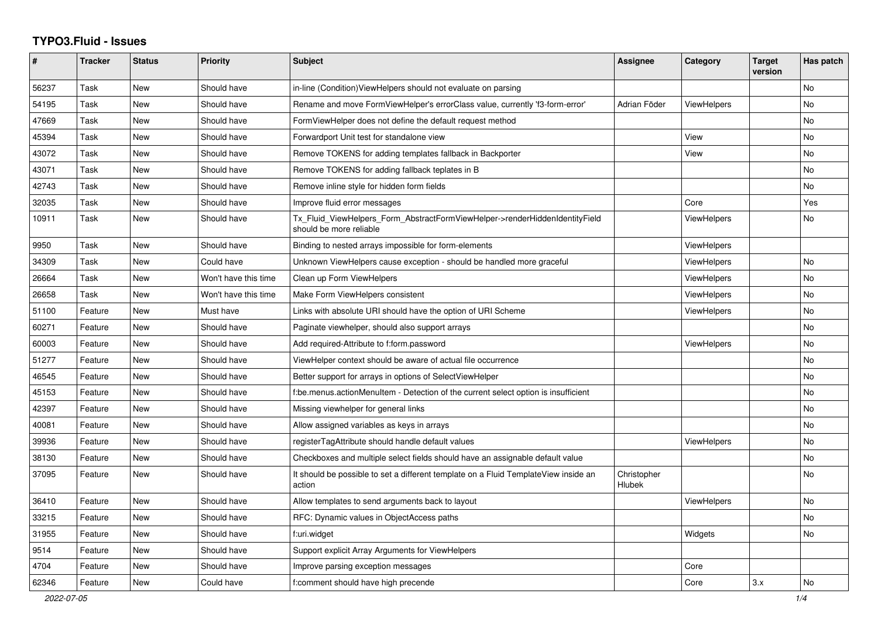## **TYPO3.Fluid - Issues**

| #     | Tracker | <b>Status</b> | <b>Priority</b>      | Subject                                                                                                | Assignee              | Category           | <b>Target</b><br>version | Has patch |
|-------|---------|---------------|----------------------|--------------------------------------------------------------------------------------------------------|-----------------------|--------------------|--------------------------|-----------|
| 56237 | Task    | <b>New</b>    | Should have          | in-line (Condition) View Helpers should not evaluate on parsing                                        |                       |                    |                          | No        |
| 54195 | Task    | New           | Should have          | Rename and move FormViewHelper's errorClass value, currently 'f3-form-error'                           | Adrian Föder          | <b>ViewHelpers</b> |                          | No        |
| 47669 | Task    | New           | Should have          | FormViewHelper does not define the default request method                                              |                       |                    |                          | No        |
| 45394 | Task    | New           | Should have          | Forwardport Unit test for standalone view                                                              |                       | View               |                          | No        |
| 43072 | Task    | <b>New</b>    | Should have          | Remove TOKENS for adding templates fallback in Backporter                                              |                       | View               |                          | <b>No</b> |
| 43071 | Task    | New           | Should have          | Remove TOKENS for adding fallback teplates in B                                                        |                       |                    |                          | <b>No</b> |
| 42743 | Task    | New           | Should have          | Remove inline style for hidden form fields                                                             |                       |                    |                          | No        |
| 32035 | Task    | <b>New</b>    | Should have          | Improve fluid error messages                                                                           |                       | Core               |                          | Yes       |
| 10911 | Task    | <b>New</b>    | Should have          | Tx_Fluid_ViewHelpers_Form_AbstractFormViewHelper->renderHiddenIdentityField<br>should be more reliable |                       | ViewHelpers        |                          | <b>No</b> |
| 9950  | Task    | <b>New</b>    | Should have          | Binding to nested arrays impossible for form-elements                                                  |                       | <b>ViewHelpers</b> |                          |           |
| 34309 | Task    | New           | Could have           | Unknown ViewHelpers cause exception - should be handled more graceful                                  |                       | ViewHelpers        |                          | No        |
| 26664 | Task    | New           | Won't have this time | Clean up Form ViewHelpers                                                                              |                       | ViewHelpers        |                          | No        |
| 26658 | Task    | New           | Won't have this time | Make Form ViewHelpers consistent                                                                       |                       | ViewHelpers        |                          | No        |
| 51100 | Feature | New           | Must have            | Links with absolute URI should have the option of URI Scheme                                           |                       | <b>ViewHelpers</b> |                          | No        |
| 60271 | Feature | <b>New</b>    | Should have          | Paginate viewhelper, should also support arrays                                                        |                       |                    |                          | <b>No</b> |
| 60003 | Feature | New           | Should have          | Add required-Attribute to f:form.password                                                              |                       | ViewHelpers        |                          | No        |
| 51277 | Feature | New           | Should have          | ViewHelper context should be aware of actual file occurrence                                           |                       |                    |                          | No        |
| 46545 | Feature | New           | Should have          | Better support for arrays in options of SelectViewHelper                                               |                       |                    |                          | No        |
| 45153 | Feature | New           | Should have          | f:be.menus.actionMenuItem - Detection of the current select option is insufficient                     |                       |                    |                          | No        |
| 42397 | Feature | <b>New</b>    | Should have          | Missing viewhelper for general links                                                                   |                       |                    |                          | <b>No</b> |
| 40081 | Feature | New           | Should have          | Allow assigned variables as keys in arrays                                                             |                       |                    |                          | No        |
| 39936 | Feature | New           | Should have          | registerTagAttribute should handle default values                                                      |                       | ViewHelpers        |                          | No        |
| 38130 | Feature | New           | Should have          | Checkboxes and multiple select fields should have an assignable default value                          |                       |                    |                          | <b>No</b> |
| 37095 | Feature | New           | Should have          | It should be possible to set a different template on a Fluid TemplateView inside an<br>action          | Christopher<br>Hlubek |                    |                          | No        |
| 36410 | Feature | New           | Should have          | Allow templates to send arguments back to layout                                                       |                       | ViewHelpers        |                          | No        |
| 33215 | Feature | New           | Should have          | RFC: Dynamic values in ObjectAccess paths                                                              |                       |                    |                          | <b>No</b> |
| 31955 | Feature | New           | Should have          | f:uri.widget                                                                                           |                       | Widgets            |                          | <b>No</b> |
| 9514  | Feature | New           | Should have          | Support explicit Array Arguments for ViewHelpers                                                       |                       |                    |                          |           |
| 4704  | Feature | New           | Should have          | Improve parsing exception messages                                                                     |                       | Core               |                          |           |
| 62346 | Feature | New           | Could have           | f:comment should have high precende                                                                    |                       | Core               | 3.x                      | No        |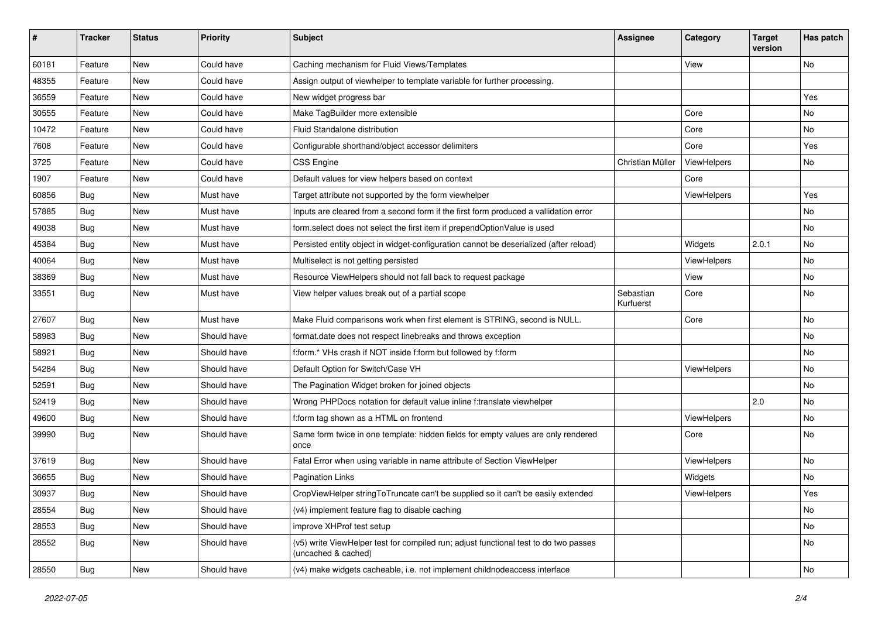| $\sharp$ | <b>Tracker</b> | <b>Status</b> | <b>Priority</b> | Subject                                                                                                     | <b>Assignee</b>        | Category    | <b>Target</b><br>version | Has patch |
|----------|----------------|---------------|-----------------|-------------------------------------------------------------------------------------------------------------|------------------------|-------------|--------------------------|-----------|
| 60181    | Feature        | New           | Could have      | Caching mechanism for Fluid Views/Templates                                                                 |                        | View        |                          | <b>No</b> |
| 48355    | Feature        | New           | Could have      | Assign output of viewhelper to template variable for further processing.                                    |                        |             |                          |           |
| 36559    | Feature        | New           | Could have      | New widget progress bar                                                                                     |                        |             |                          | Yes       |
| 30555    | Feature        | New           | Could have      | Make TagBuilder more extensible                                                                             |                        | Core        |                          | No        |
| 10472    | Feature        | New           | Could have      | Fluid Standalone distribution                                                                               |                        | Core        |                          | No        |
| 7608     | Feature        | New           | Could have      | Configurable shorthand/object accessor delimiters                                                           |                        | Core        |                          | Yes       |
| 3725     | Feature        | New           | Could have      | CSS Engine                                                                                                  | Christian Müller       | ViewHelpers |                          | No        |
| 1907     | Feature        | New           | Could have      | Default values for view helpers based on context                                                            |                        | Core        |                          |           |
| 60856    | Bug            | New           | Must have       | Target attribute not supported by the form viewhelper                                                       |                        | ViewHelpers |                          | Yes       |
| 57885    | Bug            | New           | Must have       | Inputs are cleared from a second form if the first form produced a vallidation error                        |                        |             |                          | No        |
| 49038    | Bug            | New           | Must have       | form.select does not select the first item if prependOptionValue is used                                    |                        |             |                          | <b>No</b> |
| 45384    | Bug            | New           | Must have       | Persisted entity object in widget-configuration cannot be deserialized (after reload)                       |                        | Widgets     | 2.0.1                    | No        |
| 40064    | Bug            | New           | Must have       | Multiselect is not getting persisted                                                                        |                        | ViewHelpers |                          | No        |
| 38369    | Bug            | New           | Must have       | Resource ViewHelpers should not fall back to request package                                                |                        | View        |                          | No        |
| 33551    | Bug            | New           | Must have       | View helper values break out of a partial scope                                                             | Sebastian<br>Kurfuerst | Core        |                          | No        |
| 27607    | Bug            | New           | Must have       | Make Fluid comparisons work when first element is STRING, second is NULL.                                   |                        | Core        |                          | No        |
| 58983    | Bug            | New           | Should have     | format.date does not respect linebreaks and throws exception                                                |                        |             |                          | <b>No</b> |
| 58921    | Bug            | New           | Should have     | f:form.* VHs crash if NOT inside f:form but followed by f:form                                              |                        |             |                          | No        |
| 54284    | Bug            | New           | Should have     | Default Option for Switch/Case VH                                                                           |                        | ViewHelpers |                          | No        |
| 52591    | Bug            | New           | Should have     | The Pagination Widget broken for joined objects                                                             |                        |             |                          | No        |
| 52419    | Bug            | New           | Should have     | Wrong PHPDocs notation for default value inline f:translate viewhelper                                      |                        |             | 2.0                      | No        |
| 49600    | Bug            | New           | Should have     | f:form tag shown as a HTML on frontend                                                                      |                        | ViewHelpers |                          | No        |
| 39990    | Bug            | New           | Should have     | Same form twice in one template: hidden fields for empty values are only rendered<br>once                   |                        | Core        |                          | No        |
| 37619    | Bug            | New           | Should have     | Fatal Error when using variable in name attribute of Section ViewHelper                                     |                        | ViewHelpers |                          | <b>No</b> |
| 36655    | Bug            | New           | Should have     | <b>Pagination Links</b>                                                                                     |                        | Widgets     |                          | No        |
| 30937    | Bug            | New           | Should have     | CropViewHelper stringToTruncate can't be supplied so it can't be easily extended                            |                        | ViewHelpers |                          | Yes       |
| 28554    | Bug            | New           | Should have     | (v4) implement feature flag to disable caching                                                              |                        |             |                          | No        |
| 28553    | <b>Bug</b>     | New           | Should have     | improve XHProf test setup                                                                                   |                        |             |                          | No        |
| 28552    | Bug            | New           | Should have     | (v5) write ViewHelper test for compiled run; adjust functional test to do two passes<br>(uncached & cached) |                        |             |                          | No        |
| 28550    | Bug            | New           | Should have     | (v4) make widgets cacheable, i.e. not implement childnodeaccess interface                                   |                        |             |                          | No        |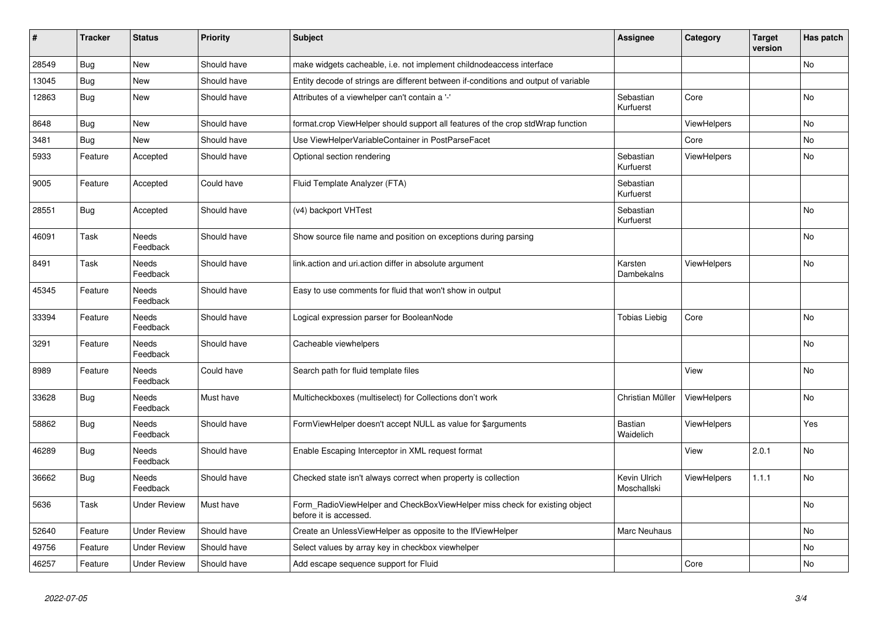| $\vert$ # | <b>Tracker</b> | <b>Status</b>            | <b>Priority</b> | <b>Subject</b>                                                                                       | <b>Assignee</b>             | Category           | <b>Target</b><br>version | Has patch |
|-----------|----------------|--------------------------|-----------------|------------------------------------------------------------------------------------------------------|-----------------------------|--------------------|--------------------------|-----------|
| 28549     | <b>Bug</b>     | New                      | Should have     | make widgets cacheable, i.e. not implement childnodeaccess interface                                 |                             |                    |                          | <b>No</b> |
| 13045     | Bug            | New                      | Should have     | Entity decode of strings are different between if-conditions and output of variable                  |                             |                    |                          |           |
| 12863     | <b>Bug</b>     | New                      | Should have     | Attributes of a viewhelper can't contain a '-'                                                       | Sebastian<br>Kurfuerst      | Core               |                          | <b>No</b> |
| 8648      | Bug            | New                      | Should have     | format.crop ViewHelper should support all features of the crop stdWrap function                      |                             | ViewHelpers        |                          | <b>No</b> |
| 3481      | <b>Bug</b>     | New                      | Should have     | Use ViewHelperVariableContainer in PostParseFacet                                                    |                             | Core               |                          | No        |
| 5933      | Feature        | Accepted                 | Should have     | Optional section rendering                                                                           | Sebastian<br>Kurfuerst      | <b>ViewHelpers</b> |                          | <b>No</b> |
| 9005      | Feature        | Accepted                 | Could have      | Fluid Template Analyzer (FTA)                                                                        | Sebastian<br>Kurfuerst      |                    |                          |           |
| 28551     | Bug            | Accepted                 | Should have     | (v4) backport VHTest                                                                                 | Sebastian<br>Kurfuerst      |                    |                          | <b>No</b> |
| 46091     | Task           | Needs<br>Feedback        | Should have     | Show source file name and position on exceptions during parsing                                      |                             |                    |                          | No        |
| 8491      | Task           | Needs<br>Feedback        | Should have     | link.action and uri.action differ in absolute argument                                               | Karsten<br>Dambekalns       | <b>ViewHelpers</b> |                          | <b>No</b> |
| 45345     | Feature        | Needs<br>Feedback        | Should have     | Easy to use comments for fluid that won't show in output                                             |                             |                    |                          |           |
| 33394     | Feature        | <b>Needs</b><br>Feedback | Should have     | Logical expression parser for BooleanNode                                                            | Tobias Liebig               | Core               |                          | <b>No</b> |
| 3291      | Feature        | Needs<br>Feedback        | Should have     | Cacheable viewhelpers                                                                                |                             |                    |                          | No        |
| 8989      | Feature        | Needs<br>Feedback        | Could have      | Search path for fluid template files                                                                 |                             | View               |                          | <b>No</b> |
| 33628     | <b>Bug</b>     | Needs<br>Feedback        | Must have       | Multicheckboxes (multiselect) for Collections don't work                                             | Christian Müller            | ViewHelpers        |                          | No        |
| 58862     | Bug            | Needs<br>Feedback        | Should have     | FormViewHelper doesn't accept NULL as value for \$arguments                                          | Bastian<br>Waidelich        | ViewHelpers        |                          | Yes       |
| 46289     | <b>Bug</b>     | Needs<br>Feedback        | Should have     | Enable Escaping Interceptor in XML request format                                                    |                             | View               | 2.0.1                    | No        |
| 36662     | <b>Bug</b>     | Needs<br>Feedback        | Should have     | Checked state isn't always correct when property is collection                                       | Kevin Ulrich<br>Moschallski | <b>ViewHelpers</b> | 1.1.1                    | <b>No</b> |
| 5636      | Task           | <b>Under Review</b>      | Must have       | Form_RadioViewHelper and CheckBoxViewHelper miss check for existing object<br>before it is accessed. |                             |                    |                          | No        |
| 52640     | Feature        | <b>Under Review</b>      | Should have     | Create an UnlessViewHelper as opposite to the IfViewHelper                                           | Marc Neuhaus                |                    |                          | No        |
| 49756     | Feature        | <b>Under Review</b>      | Should have     | Select values by array key in checkbox viewhelper                                                    |                             |                    |                          | No        |
| 46257     | Feature        | <b>Under Review</b>      | Should have     | Add escape sequence support for Fluid                                                                |                             | Core               |                          | No        |